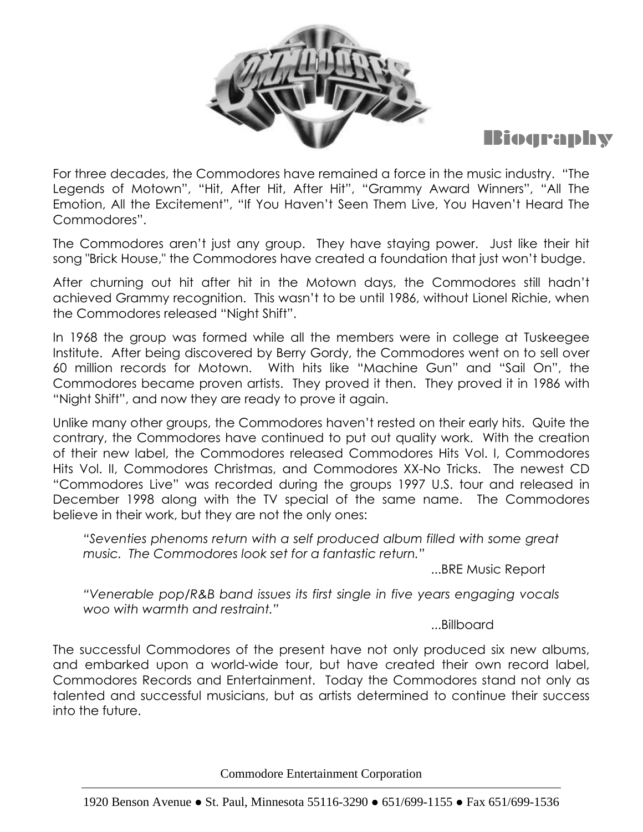



For three decades, the Commodores have remained a force in the music industry. "The Legends of Motown", "Hit, After Hit, After Hit", "Grammy Award Winners", "All The Emotion, All the Excitement", "If You Haven't Seen Them Live, You Haven't Heard The Commodores".

The Commodores aren't just any group. They have staying power. Just like their hit song "Brick House," the Commodores have created a foundation that just won't budge.

After churning out hit after hit in the Motown days, the Commodores still hadn't achieved Grammy recognition. This wasn't to be until 1986, without Lionel Richie, when the Commodores released "Night Shift".

In 1968 the group was formed while all the members were in college at Tuskeegee Institute. After being discovered by Berry Gordy, the Commodores went on to sell over 60 million records for Motown. With hits like "Machine Gun" and "Sail On", the Commodores became proven artists. They proved it then. They proved it in 1986 with "Night Shift", and now they are ready to prove it again.

Unlike many other groups, the Commodores haven't rested on their early hits. Quite the contrary, the Commodores have continued to put out quality work. With the creation of their new label, the Commodores released Commodores Hits Vol. I, Commodores Hits Vol. II, Commodores Christmas, and Commodores XX-No Tricks. The newest CD "Commodores Live" was recorded during the groups 1997 U.S. tour and released in December 1998 along with the TV special of the same name. The Commodores believe in their work, but they are not the only ones:

*"Seventies phenoms return with a self produced album filled with some great music. The Commodores look set for a fantastic return."*

...BRE Music Report

*"Venerable pop/R&B band issues its first single in five years engaging vocals woo with warmth and restraint."*

...Billboard

The successful Commodores of the present have not only produced six new albums, and embarked upon a world-wide tour, but have created their own record label, Commodores Records and Entertainment. Today the Commodores stand not only as talented and successful musicians, but as artists determined to continue their success into the future.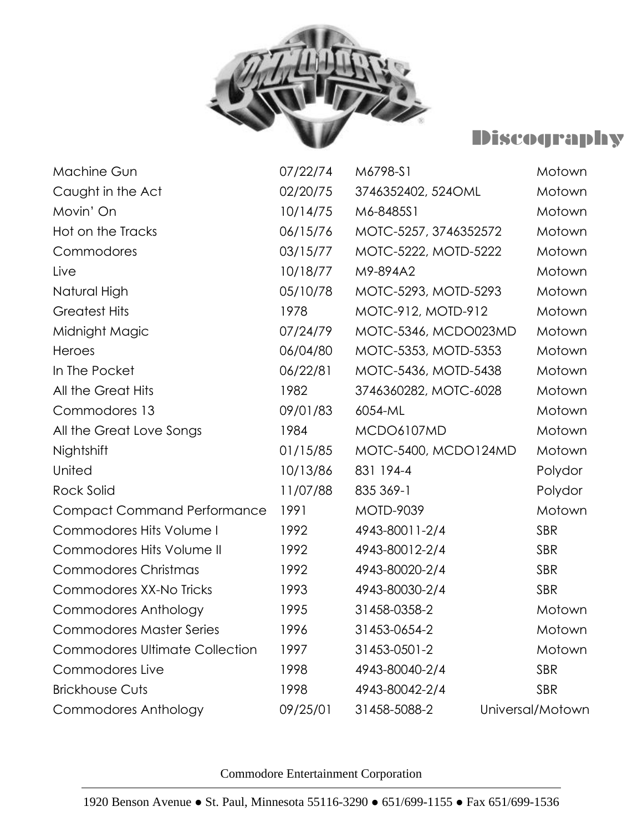

## Discography

| <b>Machine Gun</b>                    | 07/22/74 | M6798-S1              | Motown           |
|---------------------------------------|----------|-----------------------|------------------|
| Caught in the Act                     | 02/20/75 | 3746352402, 524OML    | Motown           |
| Movin' On                             | 10/14/75 | M6-8485S1             | Motown           |
| Hot on the Tracks                     | 06/15/76 | MOTC-5257, 3746352572 | Motown           |
| Commodores                            | 03/15/77 | MOTC-5222, MOTD-5222  | Motown           |
| Live                                  | 10/18/77 | M9-894A2              | Motown           |
| Natural High                          | 05/10/78 | MOTC-5293, MOTD-5293  | Motown           |
| <b>Greatest Hits</b>                  | 1978     | MOTC-912, MOTD-912    | Motown           |
| Midnight Magic                        | 07/24/79 | MOTC-5346, MCDO023MD  | Motown           |
| Heroes                                | 06/04/80 | MOTC-5353, MOTD-5353  | Motown           |
| In The Pocket                         | 06/22/81 | MOTC-5436, MOTD-5438  | Motown           |
| All the Great Hits                    | 1982     | 3746360282, MOTC-6028 | Motown           |
| Commodores 13                         | 09/01/83 | 6054-ML               | Motown           |
| All the Great Love Songs              | 1984     | MCDO6107MD            | Motown           |
| Nightshift                            | 01/15/85 | MOTC-5400, MCDO124MD  | Motown           |
| United                                | 10/13/86 | 831 194-4             | Polydor          |
| <b>Rock Solid</b>                     | 11/07/88 | 835 369-1             | Polydor          |
| <b>Compact Command Performance</b>    | 1991     | <b>MOTD-9039</b>      | Motown           |
| <b>Commodores Hits Volume I</b>       | 1992     | 4943-80011-2/4        | <b>SBR</b>       |
| Commodores Hits Volume II             | 1992     | 4943-80012-2/4        | <b>SBR</b>       |
| <b>Commodores Christmas</b>           | 1992     | 4943-80020-2/4        | <b>SBR</b>       |
| Commodores XX-No Tricks               | 1993     | 4943-80030-2/4        | <b>SBR</b>       |
| <b>Commodores Anthology</b>           | 1995     | 31458-0358-2          | Motown           |
| <b>Commodores Master Series</b>       | 1996     | 31453-0654-2          | Motown           |
| <b>Commodores Ultimate Collection</b> | 1997     | 31453-0501-2          | Motown           |
| Commodores Live                       | 1998     | 4943-80040-2/4        | <b>SBR</b>       |
| <b>Brickhouse Cuts</b>                | 1998     | 4943-80042-2/4        | <b>SBR</b>       |
| Commodores Anthology                  | 09/25/01 | 31458-5088-2          | Universal/Motown |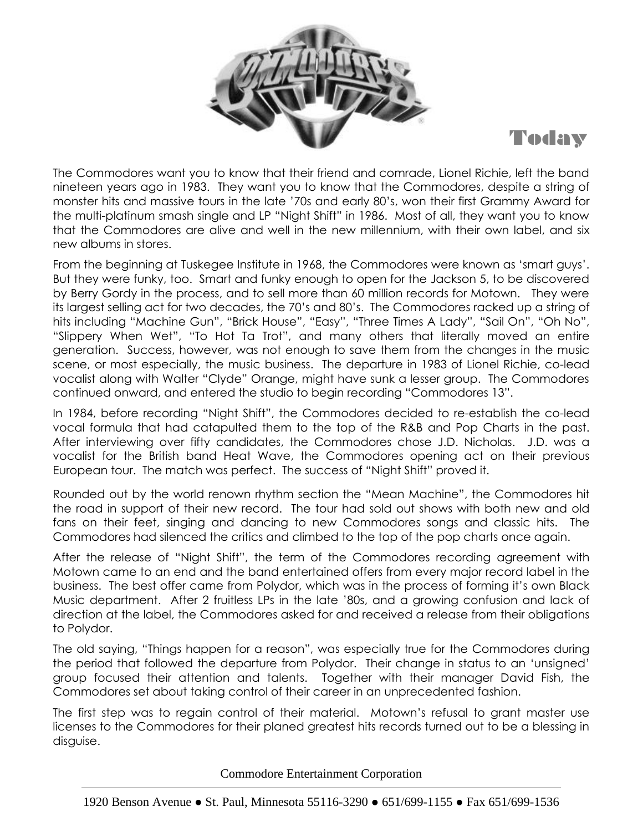



The Commodores want you to know that their friend and comrade, Lionel Richie, left the band nineteen years ago in 1983. They want you to know that the Commodores, despite a string of monster hits and massive tours in the late '70s and early 80's, won their first Grammy Award for the multi-platinum smash single and LP "Night Shift" in 1986. Most of all, they want you to know that the Commodores are alive and well in the new millennium, with their own label, and six new albums in stores.

From the beginning at Tuskegee Institute in 1968, the Commodores were known as 'smart guys'. But they were funky, too. Smart and funky enough to open for the Jackson 5, to be discovered by Berry Gordy in the process, and to sell more than 60 million records for Motown. They were its largest selling act for two decades, the 70's and 80's. The Commodores racked up a string of hits including "Machine Gun", "Brick House", "Easy", "Three Times A Lady", "Sail On", "Oh No", "Slippery When Wet", "To Hot Ta Trot", and many others that literally moved an entire generation. Success, however, was not enough to save them from the changes in the music scene, or most especially, the music business. The departure in 1983 of Lionel Richie, co-lead vocalist along with Walter "Clyde" Orange, might have sunk a lesser group. The Commodores continued onward, and entered the studio to begin recording "Commodores 13".

In 1984, before recording "Night Shift", the Commodores decided to re-establish the co-lead vocal formula that had catapulted them to the top of the R&B and Pop Charts in the past. After interviewing over fifty candidates, the Commodores chose J.D. Nicholas. J.D. was a vocalist for the British band Heat Wave, the Commodores opening act on their previous European tour. The match was perfect. The success of "Night Shift" proved it.

Rounded out by the world renown rhythm section the "Mean Machine", the Commodores hit the road in support of their new record. The tour had sold out shows with both new and old fans on their feet, singing and dancing to new Commodores songs and classic hits. The Commodores had silenced the critics and climbed to the top of the pop charts once again.

After the release of "Night Shift", the term of the Commodores recording agreement with Motown came to an end and the band entertained offers from every major record label in the business. The best offer came from Polydor, which was in the process of forming it's own Black Music department. After 2 fruitless LPs in the late '80s, and a growing confusion and lack of direction at the label, the Commodores asked for and received a release from their obligations to Polydor.

The old saying, "Things happen for a reason", was especially true for the Commodores during the period that followed the departure from Polydor. Their change in status to an 'unsigned' group focused their attention and talents. Together with their manager David Fish, the Commodores set about taking control of their career in an unprecedented fashion.

The first step was to regain control of their material. Motown's refusal to grant master use licenses to the Commodores for their planed greatest hits records turned out to be a blessing in disguise.